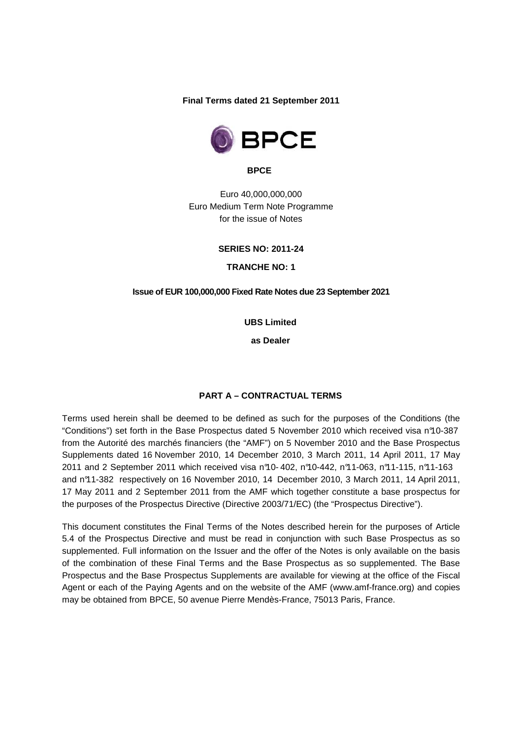**Final Terms dated 21 September 2011** 



**BPCE** 

Euro 40,000,000,000 Euro Medium Term Note Programme for the issue of Notes

**SERIES NO: 2011-24** 

**TRANCHE NO: 1**

**Issue of EUR 100,000,000 Fixed Rate Notes due 23 September 2021** 

**UBS Limited** 

**as Dealer** 

#### **PART A – CONTRACTUAL TERMS**

Terms used herein shall be deemed to be defined as such for the purposes of the Conditions (the "Conditions") set forth in the Base Prospectus dated 5 November 2010 which received visa n°10-387 from the Autorité des marchés financiers (the "AMF") on 5 November 2010 and the Base Prospectus Supplements dated 16 November 2010, 14 December 2010, 3 March 2011, 14 April 2011, 17 May 2011 and 2 September 2011 which received visa n°10- 402, n°10-442, n°11-063, n°11-115, n°11-163 and n°11-382 respectively on 16 November 2010, 14 December 2010, 3 March 2011, 14 April 2011, 17 May 2011 and 2 September 2011 from the AMF which together constitute a base prospectus for the purposes of the Prospectus Directive (Directive 2003/71/EC) (the "Prospectus Directive").

This document constitutes the Final Terms of the Notes described herein for the purposes of Article 5.4 of the Prospectus Directive and must be read in conjunction with such Base Prospectus as so supplemented. Full information on the Issuer and the offer of the Notes is only available on the basis of the combination of these Final Terms and the Base Prospectus as so supplemented. The Base Prospectus and the Base Prospectus Supplements are available for viewing at the office of the Fiscal Agent or each of the Paying Agents and on the website of the AMF (www.amf-france.org) and copies may be obtained from BPCE, 50 avenue Pierre Mendès-France, 75013 Paris, France.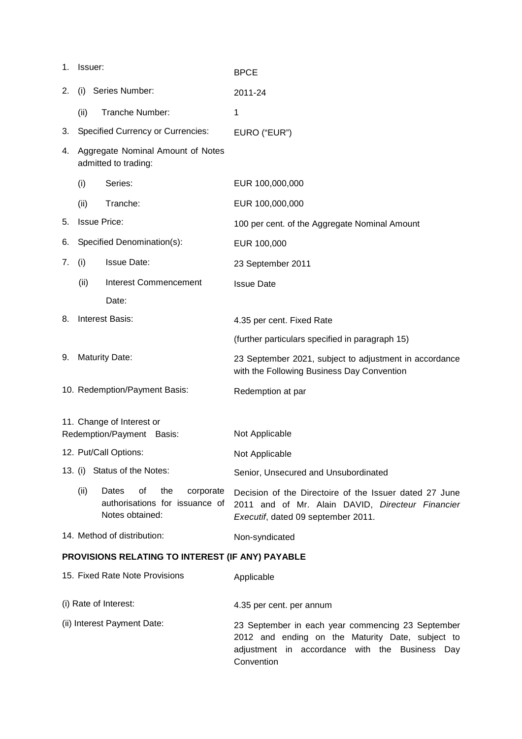| 1.                                                     | Issuer:                                                   |                                                                                      | <b>BPCE</b>                                                                                                                                             |  |
|--------------------------------------------------------|-----------------------------------------------------------|--------------------------------------------------------------------------------------|---------------------------------------------------------------------------------------------------------------------------------------------------------|--|
| 2.                                                     | (i)                                                       | Series Number:                                                                       | 2011-24                                                                                                                                                 |  |
|                                                        | (ii)                                                      | Tranche Number:                                                                      | 1                                                                                                                                                       |  |
| 3.                                                     |                                                           | <b>Specified Currency or Currencies:</b>                                             | EURO ("EUR")                                                                                                                                            |  |
| 4.                                                     | Aggregate Nominal Amount of Notes<br>admitted to trading: |                                                                                      |                                                                                                                                                         |  |
|                                                        | (i)                                                       | Series:                                                                              | EUR 100,000,000                                                                                                                                         |  |
|                                                        | (ii)                                                      | Tranche:                                                                             | EUR 100,000,000                                                                                                                                         |  |
| 5.                                                     | <b>Issue Price:</b>                                       |                                                                                      | 100 per cent. of the Aggregate Nominal Amount                                                                                                           |  |
| 6.                                                     |                                                           | Specified Denomination(s):                                                           | EUR 100,000                                                                                                                                             |  |
| 7.                                                     | (i)                                                       | <b>Issue Date:</b>                                                                   | 23 September 2011                                                                                                                                       |  |
|                                                        | (ii)                                                      | <b>Interest Commencement</b>                                                         | <b>Issue Date</b>                                                                                                                                       |  |
|                                                        |                                                           | Date:                                                                                |                                                                                                                                                         |  |
| 8.                                                     |                                                           | <b>Interest Basis:</b>                                                               | 4.35 per cent. Fixed Rate                                                                                                                               |  |
|                                                        |                                                           |                                                                                      | (further particulars specified in paragraph 15)                                                                                                         |  |
| 9.                                                     |                                                           | <b>Maturity Date:</b>                                                                | 23 September 2021, subject to adjustment in accordance<br>with the Following Business Day Convention                                                    |  |
|                                                        | 10. Redemption/Payment Basis:                             |                                                                                      | Redemption at par                                                                                                                                       |  |
| 11. Change of Interest or<br>Redemption/Payment Basis: |                                                           |                                                                                      | Not Applicable                                                                                                                                          |  |
| 12. Put/Call Options:                                  |                                                           |                                                                                      | Not Applicable                                                                                                                                          |  |
|                                                        |                                                           | 13. (i) Status of the Notes:                                                         | Senior, Unsecured and Unsubordinated                                                                                                                    |  |
|                                                        | (ii)                                                      | Dates<br>οf<br>the<br>corporate<br>authorisations for issuance of<br>Notes obtained: | Decision of the Directoire of the Issuer dated 27 June<br>2011 and of Mr. Alain DAVID, Directeur Financier<br>Executif, dated 09 september 2011.        |  |
|                                                        |                                                           | 14. Method of distribution:                                                          | Non-syndicated                                                                                                                                          |  |
|                                                        | PROVISIONS RELATING TO INTEREST (IF ANY) PAYABLE          |                                                                                      |                                                                                                                                                         |  |
| 15. Fixed Rate Note Provisions                         |                                                           |                                                                                      | Applicable                                                                                                                                              |  |
| (i) Rate of Interest:                                  |                                                           |                                                                                      | 4.35 per cent. per annum                                                                                                                                |  |
| (ii) Interest Payment Date:                            |                                                           |                                                                                      | 23 September in each year commencing 23 September<br>2012 and ending on the Maturity Date, subject to<br>adjustment in accordance with the Business Day |  |

Convention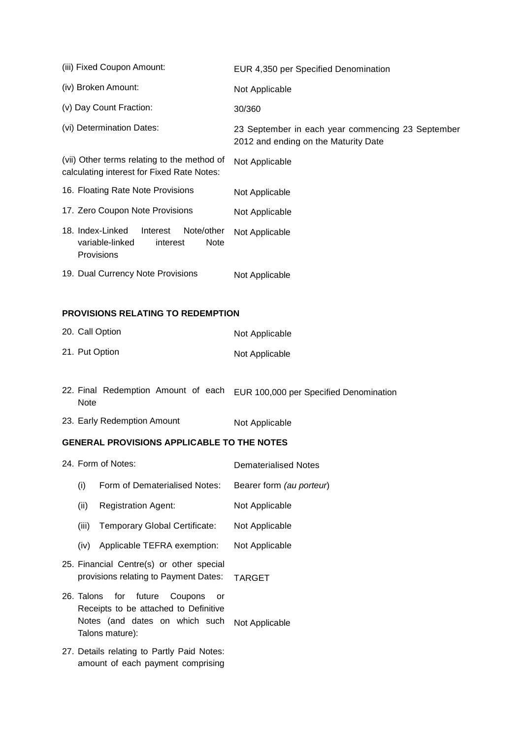| (iii) Fixed Coupon Amount:                                                                                    | EUR 4,350 per Specified Denomination                                                      |
|---------------------------------------------------------------------------------------------------------------|-------------------------------------------------------------------------------------------|
| (iv) Broken Amount:                                                                                           | Not Applicable                                                                            |
| (v) Day Count Fraction:                                                                                       | 30/360                                                                                    |
| (vi) Determination Dates:                                                                                     | 23 September in each year commencing 23 September<br>2012 and ending on the Maturity Date |
| (vii) Other terms relating to the method of<br>calculating interest for Fixed Rate Notes:                     | Not Applicable                                                                            |
| 16. Floating Rate Note Provisions                                                                             | Not Applicable                                                                            |
| 17. Zero Coupon Note Provisions                                                                               | Not Applicable                                                                            |
| 18. Index-Linked<br>Note/other<br>Interest<br>variable-linked<br><b>Note</b><br>interest<br><b>Provisions</b> | Not Applicable                                                                            |
| 19. Dual Currency Note Provisions                                                                             | Not Applicable                                                                            |

# **PROVISIONS RELATING TO REDEMPTION**

| 20. Call Option | Not Applicable |
|-----------------|----------------|
| 21. Put Option  | Not Applicable |

- 22. Final Redemption Amount of each EUR 100,000 per Specified Denomination Note
- 23. Early Redemption Amount Not Applicable

# **GENERAL PROVISIONS APPLICABLE TO THE NOTES**

| 24. Form of Notes: |                                                                                                                                   | <b>Dematerialised Notes</b> |
|--------------------|-----------------------------------------------------------------------------------------------------------------------------------|-----------------------------|
| (i)                | Form of Dematerialised Notes:                                                                                                     | Bearer form (au porteur)    |
| (ii)               | <b>Registration Agent:</b>                                                                                                        | Not Applicable              |
| (iii)              | Temporary Global Certificate:                                                                                                     | Not Applicable              |
|                    | (iv) Applicable TEFRA exemption:                                                                                                  | Not Applicable              |
|                    | 25. Financial Centre(s) or other special<br>provisions relating to Payment Dates:                                                 | <b>TARGET</b>               |
|                    | 26. Talons for future Coupons<br>or<br>Receipts to be attached to Definitive<br>Notes (and dates on which such<br>Talons mature): | Not Applicable              |
|                    | 27. Details relating to Partly Paid Notes:<br>amount of each payment comprising                                                   |                             |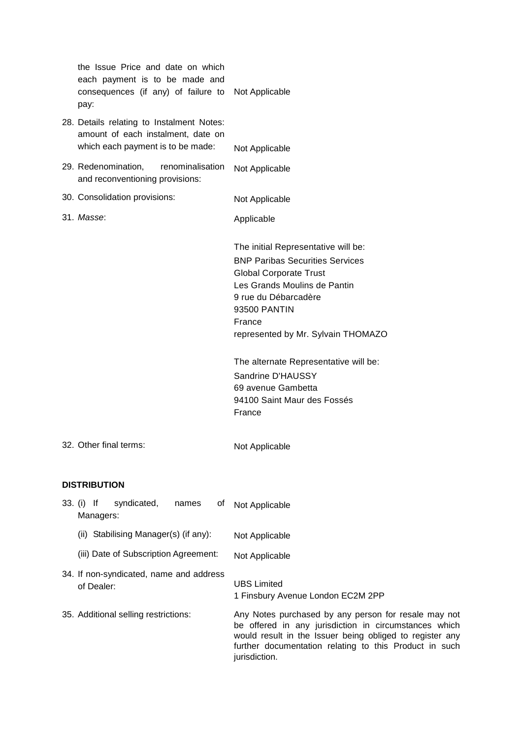| the Issue Price and date on which<br>each payment is to be made and<br>consequences (if any) of failure to<br>pay:   | Not Applicable                                                                                                                                                                                                                                                                                                                                                                        |
|----------------------------------------------------------------------------------------------------------------------|---------------------------------------------------------------------------------------------------------------------------------------------------------------------------------------------------------------------------------------------------------------------------------------------------------------------------------------------------------------------------------------|
| 28. Details relating to Instalment Notes:<br>amount of each instalment, date on<br>which each payment is to be made: | Not Applicable                                                                                                                                                                                                                                                                                                                                                                        |
| 29. Redenomination,<br>renominalisation<br>and reconventioning provisions:                                           | Not Applicable                                                                                                                                                                                                                                                                                                                                                                        |
| 30. Consolidation provisions:                                                                                        | Not Applicable                                                                                                                                                                                                                                                                                                                                                                        |
| 31. Masse:                                                                                                           | Applicable                                                                                                                                                                                                                                                                                                                                                                            |
| 32. Other final terms:                                                                                               | The initial Representative will be:<br><b>BNP Paribas Securities Services</b><br><b>Global Corporate Trust</b><br>Les Grands Moulins de Pantin<br>9 rue du Débarcadère<br>93500 PANTIN<br>France<br>represented by Mr. Sylvain THOMAZO<br>The alternate Representative will be:<br>Sandrine D'HAUSSY<br>69 avenue Gambetta<br>94100 Saint Maur des Fossés<br>France<br>Not Applicable |
| <b>DISTRIBUTION</b>                                                                                                  |                                                                                                                                                                                                                                                                                                                                                                                       |
| syndicated,<br>33. (i) If<br>names<br>0t<br>Managers:                                                                | Not Applicable                                                                                                                                                                                                                                                                                                                                                                        |
| (ii) Stabilising Manager(s) (if any):                                                                                | Not Applicable                                                                                                                                                                                                                                                                                                                                                                        |
| (iii) Date of Subscription Agreement:                                                                                | Not Applicable                                                                                                                                                                                                                                                                                                                                                                        |
| 34. If non-syndicated, name and address<br>of Dealer:                                                                | <b>UBS Limited</b><br>1 Finsbury Avenue London EC2M 2PP                                                                                                                                                                                                                                                                                                                               |
| 35. Additional selling restrictions:                                                                                 | Any Notes purchased by any person for resale may not<br>be offered in any jurisdiction in circumstances which<br>would result in the Issuer being obliged to register any<br>further documentation relating to this Product in such<br>jurisdiction.                                                                                                                                  |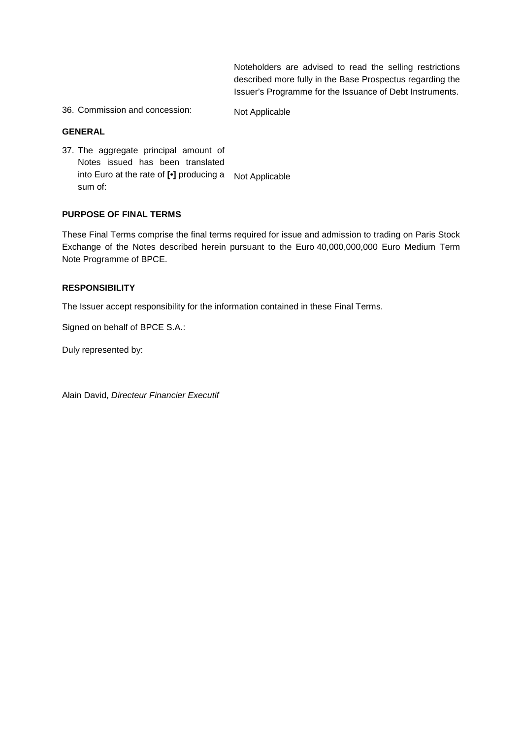Noteholders are advised to read the selling restrictions described more fully in the Base Prospectus regarding the Issuer's Programme for the Issuance of Debt Instruments.

36. Commission and concession: Not Applicable

### **GENERAL**

37. The aggregate principal amount of Notes issued has been translated into Euro at the rate of **[•]** producing a Not Applicable sum of:

### **PURPOSE OF FINAL TERMS**

These Final Terms comprise the final terms required for issue and admission to trading on Paris Stock Exchange of the Notes described herein pursuant to the Euro 40,000,000,000 Euro Medium Term Note Programme of BPCE.

# **RESPONSIBILITY**

The Issuer accept responsibility for the information contained in these Final Terms.

Signed on behalf of BPCE S.A.:

Duly represented by:

Alain David, Directeur Financier Executif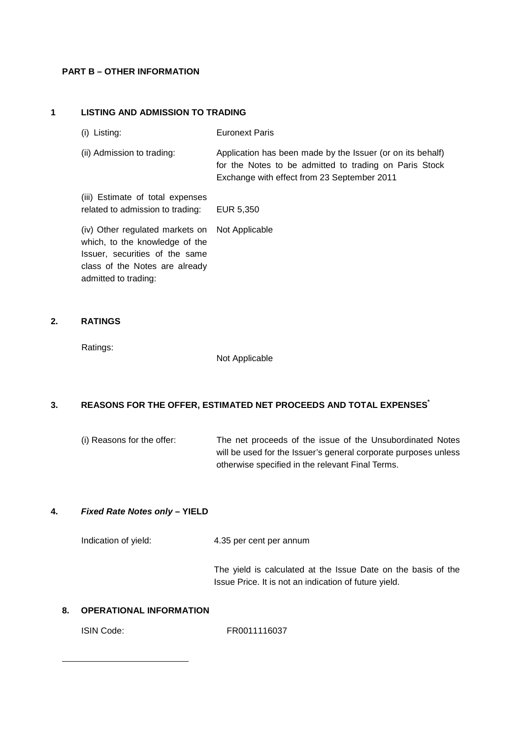#### **PART B – OTHER INFORMATION**

## **1 LISTING AND ADMISSION TO TRADING**

class of the Notes are already

admitted to trading:

| (i) Listing:                                                                                        | <b>Euronext Paris</b>                                                                                                                                               |
|-----------------------------------------------------------------------------------------------------|---------------------------------------------------------------------------------------------------------------------------------------------------------------------|
| (ii) Admission to trading:                                                                          | Application has been made by the Issuer (or on its behalf)<br>for the Notes to be admitted to trading on Paris Stock<br>Exchange with effect from 23 September 2011 |
| (iii) Estimate of total expenses<br>related to admission to trading:                                | EUR 5,350                                                                                                                                                           |
| (iv) Other regulated markets on<br>which, to the knowledge of the<br>Issuer, securities of the same | Not Applicable                                                                                                                                                      |

#### **2. RATINGS**

Ratings:

Not Applicable

### **3. REASONS FOR THE OFFER, ESTIMATED NET PROCEEDS AND TOTAL EXPENSES\***

(i) Reasons for the offer: The net proceeds of the issue of the Unsubordinated Notes will be used for the Issuer's general corporate purposes unless otherwise specified in the relevant Final Terms.

# **4. Fixed Rate Notes only – YIELD**

Indication of yield: 4.35 per cent per annum

The yield is calculated at the Issue Date on the basis of the Issue Price. It is not an indication of future yield.

# **8. OPERATIONAL INFORMATION**

l

ISIN Code: FR0011116037